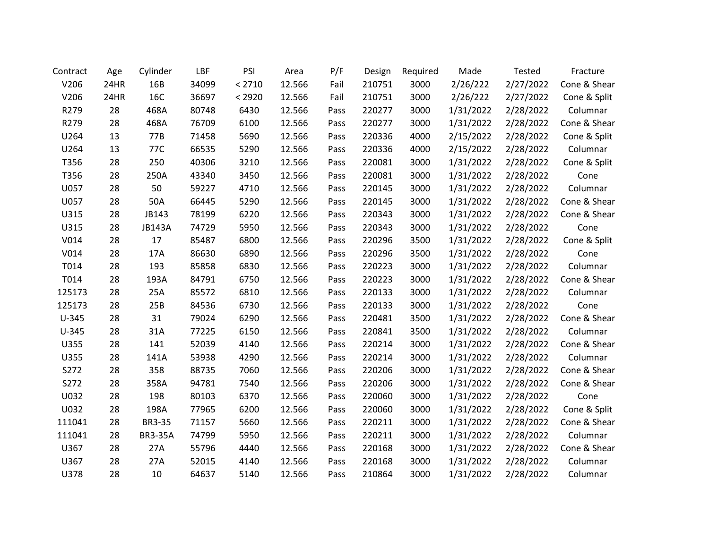| Contract | Age  | Cylinder       | LBF   | PSI    | Area   | P/F  | Design | Required | Made      | Tested    | Fracture     |
|----------|------|----------------|-------|--------|--------|------|--------|----------|-----------|-----------|--------------|
| V206     | 24HR | 16B            | 34099 | < 2710 | 12.566 | Fail | 210751 | 3000     | 2/26/222  | 2/27/2022 | Cone & Shear |
| V206     | 24HR | 16C            | 36697 | < 2920 | 12.566 | Fail | 210751 | 3000     | 2/26/222  | 2/27/2022 | Cone & Split |
| R279     | 28   | 468A           | 80748 | 6430   | 12.566 | Pass | 220277 | 3000     | 1/31/2022 | 2/28/2022 | Columnar     |
| R279     | 28   | 468A           | 76709 | 6100   | 12.566 | Pass | 220277 | 3000     | 1/31/2022 | 2/28/2022 | Cone & Shear |
| U264     | 13   | 77B            | 71458 | 5690   | 12.566 | Pass | 220336 | 4000     | 2/15/2022 | 2/28/2022 | Cone & Split |
| U264     | 13   | 77C            | 66535 | 5290   | 12.566 | Pass | 220336 | 4000     | 2/15/2022 | 2/28/2022 | Columnar     |
| T356     | 28   | 250            | 40306 | 3210   | 12.566 | Pass | 220081 | 3000     | 1/31/2022 | 2/28/2022 | Cone & Split |
| T356     | 28   | 250A           | 43340 | 3450   | 12.566 | Pass | 220081 | 3000     | 1/31/2022 | 2/28/2022 | Cone         |
| U057     | 28   | 50             | 59227 | 4710   | 12.566 | Pass | 220145 | 3000     | 1/31/2022 | 2/28/2022 | Columnar     |
| U057     | 28   | 50A            | 66445 | 5290   | 12.566 | Pass | 220145 | 3000     | 1/31/2022 | 2/28/2022 | Cone & Shear |
| U315     | 28   | JB143          | 78199 | 6220   | 12.566 | Pass | 220343 | 3000     | 1/31/2022 | 2/28/2022 | Cone & Shear |
| U315     | 28   | <b>JB143A</b>  | 74729 | 5950   | 12.566 | Pass | 220343 | 3000     | 1/31/2022 | 2/28/2022 | Cone         |
| V014     | 28   | 17             | 85487 | 6800   | 12.566 | Pass | 220296 | 3500     | 1/31/2022 | 2/28/2022 | Cone & Split |
| V014     | 28   | 17A            | 86630 | 6890   | 12.566 | Pass | 220296 | 3500     | 1/31/2022 | 2/28/2022 | Cone         |
| T014     | 28   | 193            | 85858 | 6830   | 12.566 | Pass | 220223 | 3000     | 1/31/2022 | 2/28/2022 | Columnar     |
| T014     | 28   | 193A           | 84791 | 6750   | 12.566 | Pass | 220223 | 3000     | 1/31/2022 | 2/28/2022 | Cone & Shear |
| 125173   | 28   | 25A            | 85572 | 6810   | 12.566 | Pass | 220133 | 3000     | 1/31/2022 | 2/28/2022 | Columnar     |
| 125173   | 28   | 25B            | 84536 | 6730   | 12.566 | Pass | 220133 | 3000     | 1/31/2022 | 2/28/2022 | Cone         |
| $U-345$  | 28   | 31             | 79024 | 6290   | 12.566 | Pass | 220481 | 3500     | 1/31/2022 | 2/28/2022 | Cone & Shear |
| $U-345$  | 28   | 31A            | 77225 | 6150   | 12.566 | Pass | 220841 | 3500     | 1/31/2022 | 2/28/2022 | Columnar     |
| U355     | 28   | 141            | 52039 | 4140   | 12.566 | Pass | 220214 | 3000     | 1/31/2022 | 2/28/2022 | Cone & Shear |
| U355     | 28   | 141A           | 53938 | 4290   | 12.566 | Pass | 220214 | 3000     | 1/31/2022 | 2/28/2022 | Columnar     |
| S272     | 28   | 358            | 88735 | 7060   | 12.566 | Pass | 220206 | 3000     | 1/31/2022 | 2/28/2022 | Cone & Shear |
| S272     | 28   | 358A           | 94781 | 7540   | 12.566 | Pass | 220206 | 3000     | 1/31/2022 | 2/28/2022 | Cone & Shear |
| U032     | 28   | 198            | 80103 | 6370   | 12.566 | Pass | 220060 | 3000     | 1/31/2022 | 2/28/2022 | Cone         |
| U032     | 28   | 198A           | 77965 | 6200   | 12.566 | Pass | 220060 | 3000     | 1/31/2022 | 2/28/2022 | Cone & Split |
| 111041   | 28   | <b>BR3-35</b>  | 71157 | 5660   | 12.566 | Pass | 220211 | 3000     | 1/31/2022 | 2/28/2022 | Cone & Shear |
| 111041   | 28   | <b>BR3-35A</b> | 74799 | 5950   | 12.566 | Pass | 220211 | 3000     | 1/31/2022 | 2/28/2022 | Columnar     |
| U367     | 28   | 27A            | 55796 | 4440   | 12.566 | Pass | 220168 | 3000     | 1/31/2022 | 2/28/2022 | Cone & Shear |
| U367     | 28   | 27A            | 52015 | 4140   | 12.566 | Pass | 220168 | 3000     | 1/31/2022 | 2/28/2022 | Columnar     |
| U378     | 28   | 10             | 64637 | 5140   | 12.566 | Pass | 210864 | 3000     | 1/31/2022 | 2/28/2022 | Columnar     |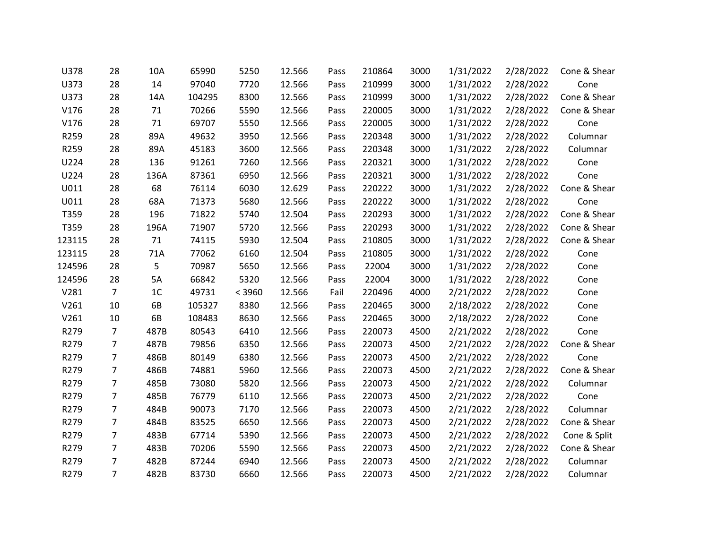| U378   | 28             | 10A            | 65990  | 5250   | 12.566 | Pass | 210864 | 3000 | 1/31/2022 | 2/28/2022 | Cone & Shear |
|--------|----------------|----------------|--------|--------|--------|------|--------|------|-----------|-----------|--------------|
| U373   | 28             | 14             | 97040  | 7720   | 12.566 | Pass | 210999 | 3000 | 1/31/2022 | 2/28/2022 | Cone         |
| U373   | 28             | 14A            | 104295 | 8300   | 12.566 | Pass | 210999 | 3000 | 1/31/2022 | 2/28/2022 | Cone & Shear |
| V176   | 28             | 71             | 70266  | 5590   | 12.566 | Pass | 220005 | 3000 | 1/31/2022 | 2/28/2022 | Cone & Shear |
| V176   | 28             | 71             | 69707  | 5550   | 12.566 | Pass | 220005 | 3000 | 1/31/2022 | 2/28/2022 | Cone         |
| R259   | 28             | 89A            | 49632  | 3950   | 12.566 | Pass | 220348 | 3000 | 1/31/2022 | 2/28/2022 | Columnar     |
| R259   | 28             | 89A            | 45183  | 3600   | 12.566 | Pass | 220348 | 3000 | 1/31/2022 | 2/28/2022 | Columnar     |
| U224   | 28             | 136            | 91261  | 7260   | 12.566 | Pass | 220321 | 3000 | 1/31/2022 | 2/28/2022 | Cone         |
| U224   | 28             | 136A           | 87361  | 6950   | 12.566 | Pass | 220321 | 3000 | 1/31/2022 | 2/28/2022 | Cone         |
| U011   | 28             | 68             | 76114  | 6030   | 12.629 | Pass | 220222 | 3000 | 1/31/2022 | 2/28/2022 | Cone & Shear |
| U011   | 28             | 68A            | 71373  | 5680   | 12.566 | Pass | 220222 | 3000 | 1/31/2022 | 2/28/2022 | Cone         |
| T359   | 28             | 196            | 71822  | 5740   | 12.504 | Pass | 220293 | 3000 | 1/31/2022 | 2/28/2022 | Cone & Shear |
| T359   | 28             | 196A           | 71907  | 5720   | 12.566 | Pass | 220293 | 3000 | 1/31/2022 | 2/28/2022 | Cone & Shear |
| 123115 | 28             | 71             | 74115  | 5930   | 12.504 | Pass | 210805 | 3000 | 1/31/2022 | 2/28/2022 | Cone & Shear |
| 123115 | 28             | 71A            | 77062  | 6160   | 12.504 | Pass | 210805 | 3000 | 1/31/2022 | 2/28/2022 | Cone         |
| 124596 | 28             | 5              | 70987  | 5650   | 12.566 | Pass | 22004  | 3000 | 1/31/2022 | 2/28/2022 | Cone         |
| 124596 | 28             | 5A             | 66842  | 5320   | 12.566 | Pass | 22004  | 3000 | 1/31/2022 | 2/28/2022 | Cone         |
| V281   | $\overline{7}$ | 1 <sup>C</sup> | 49731  | < 3960 | 12.566 | Fail | 220496 | 4000 | 2/21/2022 | 2/28/2022 | Cone         |
| V261   | 10             | 6B             | 105327 | 8380   | 12.566 | Pass | 220465 | 3000 | 2/18/2022 | 2/28/2022 | Cone         |
| V261   | 10             | 6B             | 108483 | 8630   | 12.566 | Pass | 220465 | 3000 | 2/18/2022 | 2/28/2022 | Cone         |
| R279   | $\overline{7}$ | 487B           | 80543  | 6410   | 12.566 | Pass | 220073 | 4500 | 2/21/2022 | 2/28/2022 | Cone         |
| R279   | 7              | 487B           | 79856  | 6350   | 12.566 | Pass | 220073 | 4500 | 2/21/2022 | 2/28/2022 | Cone & Shear |
| R279   | $\overline{7}$ | 486B           | 80149  | 6380   | 12.566 | Pass | 220073 | 4500 | 2/21/2022 | 2/28/2022 | Cone         |
| R279   | 7              | 486B           | 74881  | 5960   | 12.566 | Pass | 220073 | 4500 | 2/21/2022 | 2/28/2022 | Cone & Shear |
| R279   | 7              | 485B           | 73080  | 5820   | 12.566 | Pass | 220073 | 4500 | 2/21/2022 | 2/28/2022 | Columnar     |
| R279   | $\overline{7}$ | 485B           | 76779  | 6110   | 12.566 | Pass | 220073 | 4500 | 2/21/2022 | 2/28/2022 | Cone         |
| R279   | 7              | 484B           | 90073  | 7170   | 12.566 | Pass | 220073 | 4500 | 2/21/2022 | 2/28/2022 | Columnar     |
| R279   | $\overline{7}$ | 484B           | 83525  | 6650   | 12.566 | Pass | 220073 | 4500 | 2/21/2022 | 2/28/2022 | Cone & Shear |
| R279   | $\overline{7}$ | 483B           | 67714  | 5390   | 12.566 | Pass | 220073 | 4500 | 2/21/2022 | 2/28/2022 | Cone & Split |
| R279   | $\overline{7}$ | 483B           | 70206  | 5590   | 12.566 | Pass | 220073 | 4500 | 2/21/2022 | 2/28/2022 | Cone & Shear |
| R279   | $\overline{7}$ | 482B           | 87244  | 6940   | 12.566 | Pass | 220073 | 4500 | 2/21/2022 | 2/28/2022 | Columnar     |
| R279   | $\overline{7}$ | 482B           | 83730  | 6660   | 12.566 | Pass | 220073 | 4500 | 2/21/2022 | 2/28/2022 | Columnar     |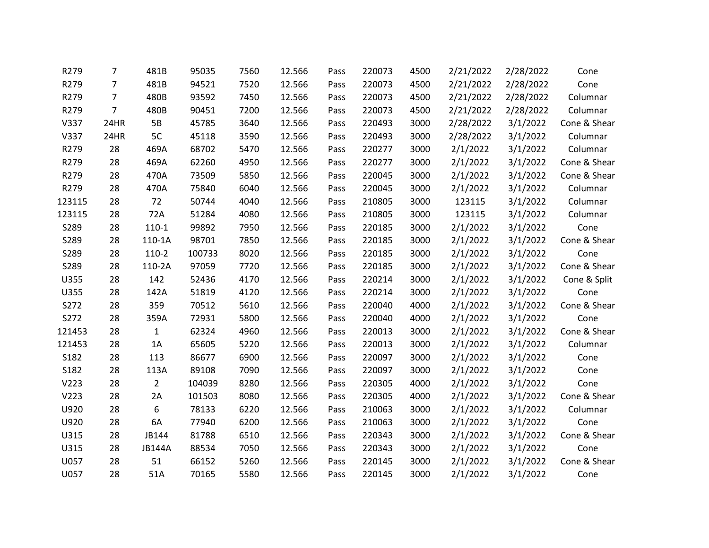| R279   | $\overline{7}$ | 481B           | 95035  | 7560 | 12.566 | Pass | 220073 | 4500 | 2/21/2022 | 2/28/2022 | Cone         |
|--------|----------------|----------------|--------|------|--------|------|--------|------|-----------|-----------|--------------|
| R279   | $\overline{7}$ | 481B           | 94521  | 7520 | 12.566 | Pass | 220073 | 4500 | 2/21/2022 | 2/28/2022 | Cone         |
| R279   | 7              | 480B           | 93592  | 7450 | 12.566 | Pass | 220073 | 4500 | 2/21/2022 | 2/28/2022 | Columnar     |
| R279   | $\overline{7}$ | 480B           | 90451  | 7200 | 12.566 | Pass | 220073 | 4500 | 2/21/2022 | 2/28/2022 | Columnar     |
| V337   | 24HR           | 5B             | 45785  | 3640 | 12.566 | Pass | 220493 | 3000 | 2/28/2022 | 3/1/2022  | Cone & Shear |
| V337   | 24HR           | 5C             | 45118  | 3590 | 12.566 | Pass | 220493 | 3000 | 2/28/2022 | 3/1/2022  | Columnar     |
| R279   | 28             | 469A           | 68702  | 5470 | 12.566 | Pass | 220277 | 3000 | 2/1/2022  | 3/1/2022  | Columnar     |
| R279   | 28             | 469A           | 62260  | 4950 | 12.566 | Pass | 220277 | 3000 | 2/1/2022  | 3/1/2022  | Cone & Shear |
| R279   | 28             | 470A           | 73509  | 5850 | 12.566 | Pass | 220045 | 3000 | 2/1/2022  | 3/1/2022  | Cone & Shear |
| R279   | 28             | 470A           | 75840  | 6040 | 12.566 | Pass | 220045 | 3000 | 2/1/2022  | 3/1/2022  | Columnar     |
| 123115 | 28             | 72             | 50744  | 4040 | 12.566 | Pass | 210805 | 3000 | 123115    | 3/1/2022  | Columnar     |
| 123115 | 28             | 72A            | 51284  | 4080 | 12.566 | Pass | 210805 | 3000 | 123115    | 3/1/2022  | Columnar     |
| S289   | 28             | $110-1$        | 99892  | 7950 | 12.566 | Pass | 220185 | 3000 | 2/1/2022  | 3/1/2022  | Cone         |
| S289   | 28             | 110-1A         | 98701  | 7850 | 12.566 | Pass | 220185 | 3000 | 2/1/2022  | 3/1/2022  | Cone & Shear |
| S289   | 28             | $110-2$        | 100733 | 8020 | 12.566 | Pass | 220185 | 3000 | 2/1/2022  | 3/1/2022  | Cone         |
| S289   | 28             | 110-2A         | 97059  | 7720 | 12.566 | Pass | 220185 | 3000 | 2/1/2022  | 3/1/2022  | Cone & Shear |
| U355   | 28             | 142            | 52436  | 4170 | 12.566 | Pass | 220214 | 3000 | 2/1/2022  | 3/1/2022  | Cone & Split |
| U355   | 28             | 142A           | 51819  | 4120 | 12.566 | Pass | 220214 | 3000 | 2/1/2022  | 3/1/2022  | Cone         |
| S272   | 28             | 359            | 70512  | 5610 | 12.566 | Pass | 220040 | 4000 | 2/1/2022  | 3/1/2022  | Cone & Shear |
| S272   | 28             | 359A           | 72931  | 5800 | 12.566 | Pass | 220040 | 4000 | 2/1/2022  | 3/1/2022  | Cone         |
| 121453 | 28             | $\mathbf{1}$   | 62324  | 4960 | 12.566 | Pass | 220013 | 3000 | 2/1/2022  | 3/1/2022  | Cone & Shear |
| 121453 | 28             | 1A             | 65605  | 5220 | 12.566 | Pass | 220013 | 3000 | 2/1/2022  | 3/1/2022  | Columnar     |
| S182   | 28             | 113            | 86677  | 6900 | 12.566 | Pass | 220097 | 3000 | 2/1/2022  | 3/1/2022  | Cone         |
| S182   | 28             | 113A           | 89108  | 7090 | 12.566 | Pass | 220097 | 3000 | 2/1/2022  | 3/1/2022  | Cone         |
| V223   | 28             | $\overline{2}$ | 104039 | 8280 | 12.566 | Pass | 220305 | 4000 | 2/1/2022  | 3/1/2022  | Cone         |
| V223   | 28             | 2A             | 101503 | 8080 | 12.566 | Pass | 220305 | 4000 | 2/1/2022  | 3/1/2022  | Cone & Shear |
| U920   | 28             | 6              | 78133  | 6220 | 12.566 | Pass | 210063 | 3000 | 2/1/2022  | 3/1/2022  | Columnar     |
| U920   | 28             | 6A             | 77940  | 6200 | 12.566 | Pass | 210063 | 3000 | 2/1/2022  | 3/1/2022  | Cone         |
| U315   | 28             | JB144          | 81788  | 6510 | 12.566 | Pass | 220343 | 3000 | 2/1/2022  | 3/1/2022  | Cone & Shear |
| U315   | 28             | <b>JB144A</b>  | 88534  | 7050 | 12.566 | Pass | 220343 | 3000 | 2/1/2022  | 3/1/2022  | Cone         |
| U057   | 28             | 51             | 66152  | 5260 | 12.566 | Pass | 220145 | 3000 | 2/1/2022  | 3/1/2022  | Cone & Shear |
| U057   | 28             | 51A            | 70165  | 5580 | 12.566 | Pass | 220145 | 3000 | 2/1/2022  | 3/1/2022  | Cone         |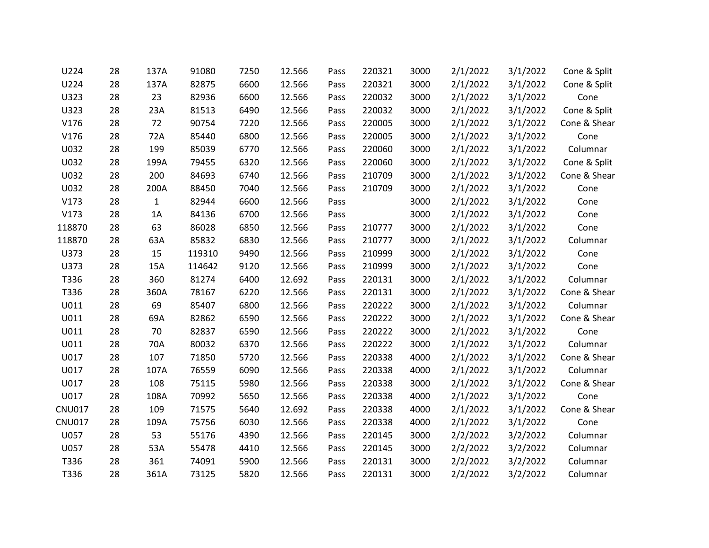| U224          | 28 | 137A         | 91080  | 7250 | 12.566 | Pass | 220321 | 3000 | 2/1/2022 | 3/1/2022 | Cone & Split |
|---------------|----|--------------|--------|------|--------|------|--------|------|----------|----------|--------------|
| U224          | 28 | 137A         | 82875  | 6600 | 12.566 | Pass | 220321 | 3000 | 2/1/2022 | 3/1/2022 | Cone & Split |
| U323          | 28 | 23           | 82936  | 6600 | 12.566 | Pass | 220032 | 3000 | 2/1/2022 | 3/1/2022 | Cone         |
| U323          | 28 | 23A          | 81513  | 6490 | 12.566 | Pass | 220032 | 3000 | 2/1/2022 | 3/1/2022 | Cone & Split |
| V176          | 28 | 72           | 90754  | 7220 | 12.566 | Pass | 220005 | 3000 | 2/1/2022 | 3/1/2022 | Cone & Shear |
| V176          | 28 | 72A          | 85440  | 6800 | 12.566 | Pass | 220005 | 3000 | 2/1/2022 | 3/1/2022 | Cone         |
| U032          | 28 | 199          | 85039  | 6770 | 12.566 | Pass | 220060 | 3000 | 2/1/2022 | 3/1/2022 | Columnar     |
| U032          | 28 | 199A         | 79455  | 6320 | 12.566 | Pass | 220060 | 3000 | 2/1/2022 | 3/1/2022 | Cone & Split |
| U032          | 28 | 200          | 84693  | 6740 | 12.566 | Pass | 210709 | 3000 | 2/1/2022 | 3/1/2022 | Cone & Shear |
| U032          | 28 | 200A         | 88450  | 7040 | 12.566 | Pass | 210709 | 3000 | 2/1/2022 | 3/1/2022 | Cone         |
| V173          | 28 | $\mathbf{1}$ | 82944  | 6600 | 12.566 | Pass |        | 3000 | 2/1/2022 | 3/1/2022 | Cone         |
| V173          | 28 | 1A           | 84136  | 6700 | 12.566 | Pass |        | 3000 | 2/1/2022 | 3/1/2022 | Cone         |
| 118870        | 28 | 63           | 86028  | 6850 | 12.566 | Pass | 210777 | 3000 | 2/1/2022 | 3/1/2022 | Cone         |
| 118870        | 28 | 63A          | 85832  | 6830 | 12.566 | Pass | 210777 | 3000 | 2/1/2022 | 3/1/2022 | Columnar     |
| U373          | 28 | 15           | 119310 | 9490 | 12.566 | Pass | 210999 | 3000 | 2/1/2022 | 3/1/2022 | Cone         |
| U373          | 28 | 15A          | 114642 | 9120 | 12.566 | Pass | 210999 | 3000 | 2/1/2022 | 3/1/2022 | Cone         |
| T336          | 28 | 360          | 81274  | 6400 | 12.692 | Pass | 220131 | 3000 | 2/1/2022 | 3/1/2022 | Columnar     |
| T336          | 28 | 360A         | 78167  | 6220 | 12.566 | Pass | 220131 | 3000 | 2/1/2022 | 3/1/2022 | Cone & Shear |
| U011          | 28 | 69           | 85407  | 6800 | 12.566 | Pass | 220222 | 3000 | 2/1/2022 | 3/1/2022 | Columnar     |
| U011          | 28 | 69A          | 82862  | 6590 | 12.566 | Pass | 220222 | 3000 | 2/1/2022 | 3/1/2022 | Cone & Shear |
| U011          | 28 | 70           | 82837  | 6590 | 12.566 | Pass | 220222 | 3000 | 2/1/2022 | 3/1/2022 | Cone         |
| U011          | 28 | 70A          | 80032  | 6370 | 12.566 | Pass | 220222 | 3000 | 2/1/2022 | 3/1/2022 | Columnar     |
| U017          | 28 | 107          | 71850  | 5720 | 12.566 | Pass | 220338 | 4000 | 2/1/2022 | 3/1/2022 | Cone & Shear |
| U017          | 28 | 107A         | 76559  | 6090 | 12.566 | Pass | 220338 | 4000 | 2/1/2022 | 3/1/2022 | Columnar     |
| U017          | 28 | 108          | 75115  | 5980 | 12.566 | Pass | 220338 | 3000 | 2/1/2022 | 3/1/2022 | Cone & Shear |
| U017          | 28 | 108A         | 70992  | 5650 | 12.566 | Pass | 220338 | 4000 | 2/1/2022 | 3/1/2022 | Cone         |
| <b>CNU017</b> | 28 | 109          | 71575  | 5640 | 12.692 | Pass | 220338 | 4000 | 2/1/2022 | 3/1/2022 | Cone & Shear |
| <b>CNU017</b> | 28 | 109A         | 75756  | 6030 | 12.566 | Pass | 220338 | 4000 | 2/1/2022 | 3/1/2022 | Cone         |
| U057          | 28 | 53           | 55176  | 4390 | 12.566 | Pass | 220145 | 3000 | 2/2/2022 | 3/2/2022 | Columnar     |
| U057          | 28 | 53A          | 55478  | 4410 | 12.566 | Pass | 220145 | 3000 | 2/2/2022 | 3/2/2022 | Columnar     |
| T336          | 28 | 361          | 74091  | 5900 | 12.566 | Pass | 220131 | 3000 | 2/2/2022 | 3/2/2022 | Columnar     |
| T336          | 28 | 361A         | 73125  | 5820 | 12.566 | Pass | 220131 | 3000 | 2/2/2022 | 3/2/2022 | Columnar     |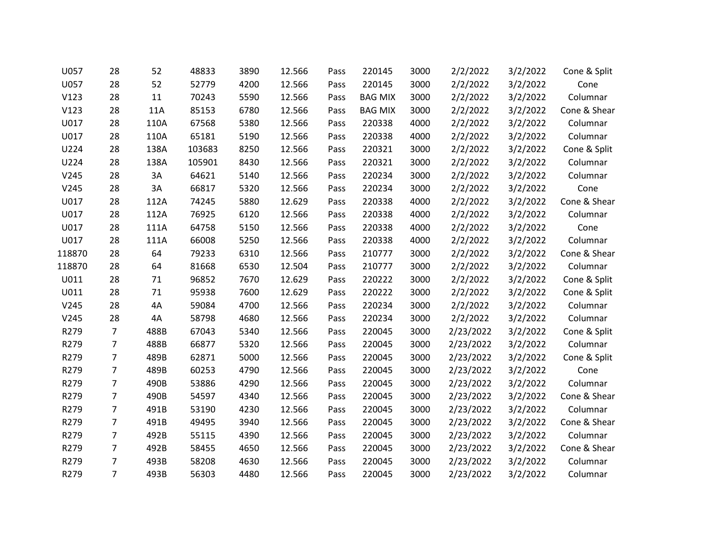| U057   | 28             | 52   | 48833  | 3890 | 12.566 | Pass | 220145         | 3000 | 2/2/2022  | 3/2/2022 | Cone & Split |
|--------|----------------|------|--------|------|--------|------|----------------|------|-----------|----------|--------------|
| U057   | 28             | 52   | 52779  | 4200 | 12.566 | Pass | 220145         | 3000 | 2/2/2022  | 3/2/2022 | Cone         |
| V123   | 28             | 11   | 70243  | 5590 | 12.566 | Pass | <b>BAG MIX</b> | 3000 | 2/2/2022  | 3/2/2022 | Columnar     |
| V123   | 28             | 11A  | 85153  | 6780 | 12.566 | Pass | <b>BAG MIX</b> | 3000 | 2/2/2022  | 3/2/2022 | Cone & Shear |
| U017   | 28             | 110A | 67568  | 5380 | 12.566 | Pass | 220338         | 4000 | 2/2/2022  | 3/2/2022 | Columnar     |
| U017   | 28             | 110A | 65181  | 5190 | 12.566 | Pass | 220338         | 4000 | 2/2/2022  | 3/2/2022 | Columnar     |
| U224   | 28             | 138A | 103683 | 8250 | 12.566 | Pass | 220321         | 3000 | 2/2/2022  | 3/2/2022 | Cone & Split |
| U224   | 28             | 138A | 105901 | 8430 | 12.566 | Pass | 220321         | 3000 | 2/2/2022  | 3/2/2022 | Columnar     |
| V245   | 28             | 3A   | 64621  | 5140 | 12.566 | Pass | 220234         | 3000 | 2/2/2022  | 3/2/2022 | Columnar     |
| V245   | 28             | 3A   | 66817  | 5320 | 12.566 | Pass | 220234         | 3000 | 2/2/2022  | 3/2/2022 | Cone         |
| U017   | 28             | 112A | 74245  | 5880 | 12.629 | Pass | 220338         | 4000 | 2/2/2022  | 3/2/2022 | Cone & Shear |
| U017   | 28             | 112A | 76925  | 6120 | 12.566 | Pass | 220338         | 4000 | 2/2/2022  | 3/2/2022 | Columnar     |
| U017   | 28             | 111A | 64758  | 5150 | 12.566 | Pass | 220338         | 4000 | 2/2/2022  | 3/2/2022 | Cone         |
| U017   | 28             | 111A | 66008  | 5250 | 12.566 | Pass | 220338         | 4000 | 2/2/2022  | 3/2/2022 | Columnar     |
| 118870 | 28             | 64   | 79233  | 6310 | 12.566 | Pass | 210777         | 3000 | 2/2/2022  | 3/2/2022 | Cone & Shear |
| 118870 | 28             | 64   | 81668  | 6530 | 12.504 | Pass | 210777         | 3000 | 2/2/2022  | 3/2/2022 | Columnar     |
| U011   | 28             | 71   | 96852  | 7670 | 12.629 | Pass | 220222         | 3000 | 2/2/2022  | 3/2/2022 | Cone & Split |
| U011   | 28             | 71   | 95938  | 7600 | 12.629 | Pass | 220222         | 3000 | 2/2/2022  | 3/2/2022 | Cone & Split |
| V245   | 28             | 4A   | 59084  | 4700 | 12.566 | Pass | 220234         | 3000 | 2/2/2022  | 3/2/2022 | Columnar     |
| V245   | 28             | 4A   | 58798  | 4680 | 12.566 | Pass | 220234         | 3000 | 2/2/2022  | 3/2/2022 | Columnar     |
| R279   | 7              | 488B | 67043  | 5340 | 12.566 | Pass | 220045         | 3000 | 2/23/2022 | 3/2/2022 | Cone & Split |
| R279   | 7              | 488B | 66877  | 5320 | 12.566 | Pass | 220045         | 3000 | 2/23/2022 | 3/2/2022 | Columnar     |
| R279   | $\overline{7}$ | 489B | 62871  | 5000 | 12.566 | Pass | 220045         | 3000 | 2/23/2022 | 3/2/2022 | Cone & Split |
| R279   | $\overline{7}$ | 489B | 60253  | 4790 | 12.566 | Pass | 220045         | 3000 | 2/23/2022 | 3/2/2022 | Cone         |
| R279   | $\overline{7}$ | 490B | 53886  | 4290 | 12.566 | Pass | 220045         | 3000 | 2/23/2022 | 3/2/2022 | Columnar     |
| R279   | $\overline{7}$ | 490B | 54597  | 4340 | 12.566 | Pass | 220045         | 3000 | 2/23/2022 | 3/2/2022 | Cone & Shear |
| R279   | 7              | 491B | 53190  | 4230 | 12.566 | Pass | 220045         | 3000 | 2/23/2022 | 3/2/2022 | Columnar     |
| R279   | 7              | 491B | 49495  | 3940 | 12.566 | Pass | 220045         | 3000 | 2/23/2022 | 3/2/2022 | Cone & Shear |
| R279   | $\overline{7}$ | 492B | 55115  | 4390 | 12.566 | Pass | 220045         | 3000 | 2/23/2022 | 3/2/2022 | Columnar     |
| R279   | $\overline{7}$ | 492B | 58455  | 4650 | 12.566 | Pass | 220045         | 3000 | 2/23/2022 | 3/2/2022 | Cone & Shear |
| R279   | 7              | 493B | 58208  | 4630 | 12.566 | Pass | 220045         | 3000 | 2/23/2022 | 3/2/2022 | Columnar     |
| R279   | $\overline{7}$ | 493B | 56303  | 4480 | 12.566 | Pass | 220045         | 3000 | 2/23/2022 | 3/2/2022 | Columnar     |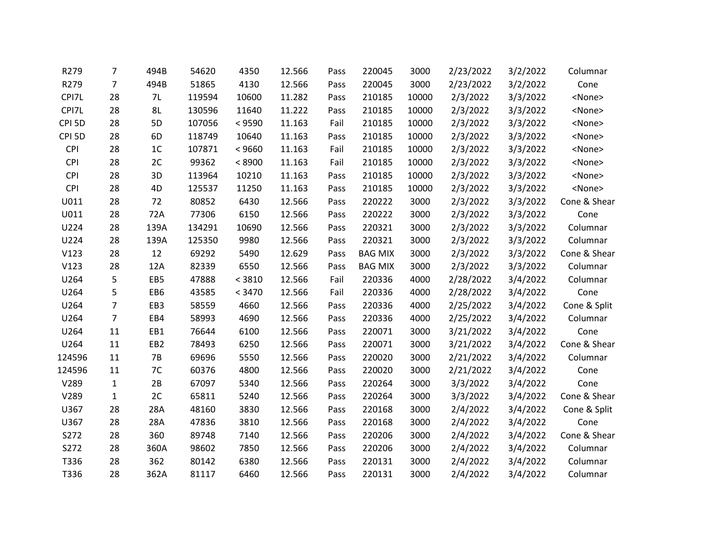| R279              | 7              | 494B            | 54620  | 4350   | 12.566 | Pass | 220045         | 3000  | 2/23/2022 | 3/2/2022 | Columnar      |
|-------------------|----------------|-----------------|--------|--------|--------|------|----------------|-------|-----------|----------|---------------|
| R279              | $\overline{7}$ | 494B            | 51865  | 4130   | 12.566 | Pass | 220045         | 3000  | 2/23/2022 | 3/2/2022 | Cone          |
| CPI7L             | 28             | 7L              | 119594 | 10600  | 11.282 | Pass | 210185         | 10000 | 2/3/2022  | 3/3/2022 | <none></none> |
| CPI7L             | 28             | 8L              | 130596 | 11640  | 11.222 | Pass | 210185         | 10000 | 2/3/2022  | 3/3/2022 | <none></none> |
| CPI <sub>5D</sub> | 28             | 5D              | 107056 | < 9590 | 11.163 | Fail | 210185         | 10000 | 2/3/2022  | 3/3/2022 | <none></none> |
| CPI <sub>5D</sub> | 28             | 6 <sub>D</sub>  | 118749 | 10640  | 11.163 | Pass | 210185         | 10000 | 2/3/2022  | 3/3/2022 | <none></none> |
| CPI               | 28             | 1 <sup>C</sup>  | 107871 | < 9660 | 11.163 | Fail | 210185         | 10000 | 2/3/2022  | 3/3/2022 | <none></none> |
| CPI               | 28             | 2C              | 99362  | < 8900 | 11.163 | Fail | 210185         | 10000 | 2/3/2022  | 3/3/2022 | <none></none> |
| CPI               | 28             | 3D              | 113964 | 10210  | 11.163 | Pass | 210185         | 10000 | 2/3/2022  | 3/3/2022 | <none></none> |
| <b>CPI</b>        | 28             | 4D              | 125537 | 11250  | 11.163 | Pass | 210185         | 10000 | 2/3/2022  | 3/3/2022 | <none></none> |
| U011              | 28             | 72              | 80852  | 6430   | 12.566 | Pass | 220222         | 3000  | 2/3/2022  | 3/3/2022 | Cone & Shear  |
| U011              | 28             | 72A             | 77306  | 6150   | 12.566 | Pass | 220222         | 3000  | 2/3/2022  | 3/3/2022 | Cone          |
| U224              | 28             | 139A            | 134291 | 10690  | 12.566 | Pass | 220321         | 3000  | 2/3/2022  | 3/3/2022 | Columnar      |
| U224              | 28             | 139A            | 125350 | 9980   | 12.566 | Pass | 220321         | 3000  | 2/3/2022  | 3/3/2022 | Columnar      |
| V123              | 28             | 12              | 69292  | 5490   | 12.629 | Pass | <b>BAG MIX</b> | 3000  | 2/3/2022  | 3/3/2022 | Cone & Shear  |
| V123              | 28             | 12A             | 82339  | 6550   | 12.566 | Pass | <b>BAG MIX</b> | 3000  | 2/3/2022  | 3/3/2022 | Columnar      |
| U264              | 5              | EB5             | 47888  | < 3810 | 12.566 | Fail | 220336         | 4000  | 2/28/2022 | 3/4/2022 | Columnar      |
| U264              | 5              | EB6             | 43585  | < 3470 | 12.566 | Fail | 220336         | 4000  | 2/28/2022 | 3/4/2022 | Cone          |
| U264              | $\overline{7}$ | EB <sub>3</sub> | 58559  | 4660   | 12.566 | Pass | 220336         | 4000  | 2/25/2022 | 3/4/2022 | Cone & Split  |
| U264              | $\overline{7}$ | EB4             | 58993  | 4690   | 12.566 | Pass | 220336         | 4000  | 2/25/2022 | 3/4/2022 | Columnar      |
| U264              | 11             | EB1             | 76644  | 6100   | 12.566 | Pass | 220071         | 3000  | 3/21/2022 | 3/4/2022 | Cone          |
| U264              | 11             | EB <sub>2</sub> | 78493  | 6250   | 12.566 | Pass | 220071         | 3000  | 3/21/2022 | 3/4/2022 | Cone & Shear  |
| 124596            | 11             | <b>7B</b>       | 69696  | 5550   | 12.566 | Pass | 220020         | 3000  | 2/21/2022 | 3/4/2022 | Columnar      |
| 124596            | 11             | 7C              | 60376  | 4800   | 12.566 | Pass | 220020         | 3000  | 2/21/2022 | 3/4/2022 | Cone          |
| V289              | $\mathbf{1}$   | 2B              | 67097  | 5340   | 12.566 | Pass | 220264         | 3000  | 3/3/2022  | 3/4/2022 | Cone          |
| V289              | $\mathbf{1}$   | 2C              | 65811  | 5240   | 12.566 | Pass | 220264         | 3000  | 3/3/2022  | 3/4/2022 | Cone & Shear  |
| U367              | 28             | 28A             | 48160  | 3830   | 12.566 | Pass | 220168         | 3000  | 2/4/2022  | 3/4/2022 | Cone & Split  |
| U367              | 28             | 28A             | 47836  | 3810   | 12.566 | Pass | 220168         | 3000  | 2/4/2022  | 3/4/2022 | Cone          |
| S272              | 28             | 360             | 89748  | 7140   | 12.566 | Pass | 220206         | 3000  | 2/4/2022  | 3/4/2022 | Cone & Shear  |
| S272              | 28             | 360A            | 98602  | 7850   | 12.566 | Pass | 220206         | 3000  | 2/4/2022  | 3/4/2022 | Columnar      |
| T336              | 28             | 362             | 80142  | 6380   | 12.566 | Pass | 220131         | 3000  | 2/4/2022  | 3/4/2022 | Columnar      |
| T336              | 28             | 362A            | 81117  | 6460   | 12.566 | Pass | 220131         | 3000  | 2/4/2022  | 3/4/2022 | Columnar      |